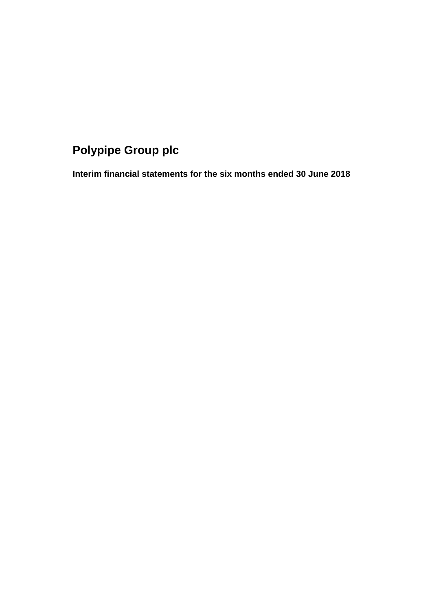# **Polypipe Group plc**

**Interim financial statements for the six months ended 30 June 2018**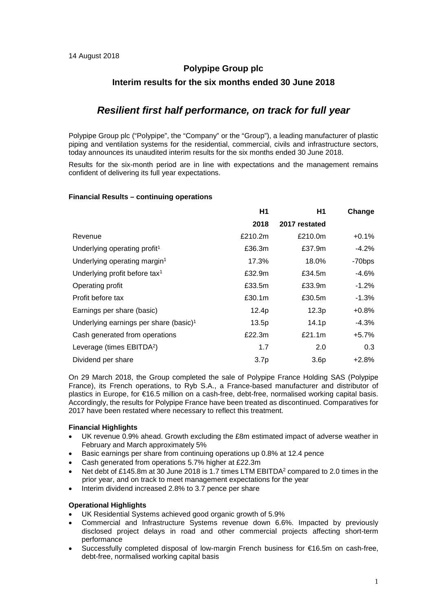# **Polypipe Group plc Interim results for the six months ended 30 June 2018**

# *Resilient first half performance, on track for full year*

Polypipe Group plc ("Polypipe", the "Company" or the "Group"), a leading manufacturer of plastic piping and ventilation systems for the residential, commercial, civils and infrastructure sectors, today announces its unaudited interim results for the six months ended 30 June 2018.

Results for the six-month period are in line with expectations and the management remains confident of delivering its full year expectations.

## **Financial Results – continuing operations**

|                                                    | H1               | H1                | Change             |
|----------------------------------------------------|------------------|-------------------|--------------------|
|                                                    | 2018             | 2017 restated     |                    |
| Revenue                                            | £210.2m          | £210.0m           | $+0.1%$            |
| Underlying operating profit <sup>1</sup>           | £36.3m           | £37.9m            | $-4.2%$            |
| Underlying operating margin <sup>1</sup>           | 17.3%            | 18.0%             | -70 <sub>bps</sub> |
| Underlying profit before tax <sup>1</sup>          | £32.9m           | £34.5m            | $-4.6%$            |
| Operating profit                                   | £33.5m           | £33.9m            | $-1.2%$            |
| Profit before tax                                  | £30.1m           | £30.5m            | $-1.3%$            |
| Earnings per share (basic)                         | 12.4p            | 12.3p             | $+0.8%$            |
| Underlying earnings per share (basic) <sup>1</sup> | 13.5p            | 14.1 <sub>p</sub> | $-4.3%$            |
| Cash generated from operations                     | £22.3m           | £21.1m            | $+5.7%$            |
| Leverage (times EBITDA <sup>2</sup> )              | 1.7              | 2.0               | 0.3                |
| Dividend per share                                 | 3.7 <sub>p</sub> | 3.6 <sub>p</sub>  | $+2.8%$            |

On 29 March 2018, the Group completed the sale of Polypipe France Holding SAS (Polypipe France), its French operations, to Ryb S.A., a France-based manufacturer and distributor of plastics in Europe, for €16.5 million on a cash-free, debt-free, normalised working capital basis. Accordingly, the results for Polypipe France have been treated as discontinued. Comparatives for 2017 have been restated where necessary to reflect this treatment.

## **Financial Highlights**

- UK revenue 0.9% ahead. Growth excluding the £8m estimated impact of adverse weather in February and March approximately 5%
- Basic earnings per share from continuing operations up 0.8% at 12.4 pence
- Cash generated from operations 5.7% higher at £22.3m
- Net debt of £145.8m at 30 June 2018 is 1.7 times LTM EBITDA<sup>2</sup> compared to 2.0 times in the prior year, and on track to meet management expectations for the year
- Interim dividend increased 2.8% to 3.7 pence per share

# **Operational Highlights**

- UK Residential Systems achieved good organic growth of 5.9%
- Commercial and Infrastructure Systems revenue down 6.6%. Impacted by previously disclosed project delays in road and other commercial projects affecting short-term performance
- Successfully completed disposal of low-margin French business for €16.5m on cash-free, debt-free, normalised working capital basis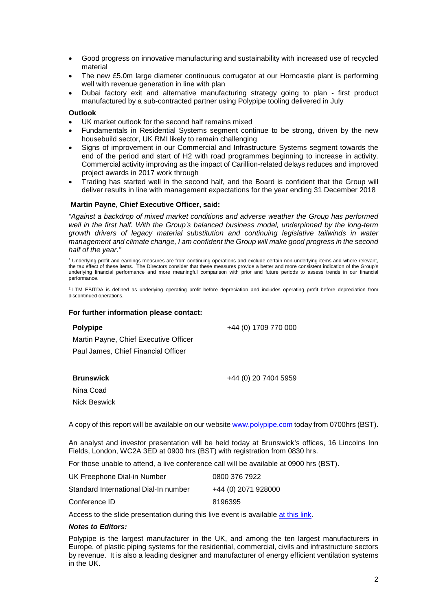- Good progress on innovative manufacturing and sustainability with increased use of recycled material
- The new £5.0m large diameter continuous corrugator at our Horncastle plant is performing well with revenue generation in line with plan
- Dubai factory exit and alternative manufacturing strategy going to plan first product manufactured by a sub-contracted partner using Polypipe tooling delivered in July

## **Outlook**

- UK market outlook for the second half remains mixed
- Fundamentals in Residential Systems segment continue to be strong, driven by the new housebuild sector, UK RMI likely to remain challenging
- Signs of improvement in our Commercial and Infrastructure Systems segment towards the end of the period and start of H2 with road programmes beginning to increase in activity. Commercial activity improving as the impact of Carillion-related delays reduces and improved project awards in 2017 work through
- Trading has started well in the second half, and the Board is confident that the Group will deliver results in line with management expectations for the year ending 31 December 2018

## **Martin Payne, Chief Executive Officer, said:**

*"Against a backdrop of mixed market conditions and adverse weather the Group has performed well in the first half. With the Group's balanced business model, underpinned by the long-term growth drivers of legacy material substitution and continuing legislative tailwinds in water management and climate change, I am confident the Group will make good progress in the second half of the year."*

<sup>1</sup> Underlying profit and earnings measures are from continuing operations and exclude certain non-underlying items and where relevant, the tax effect of these items. The Directors consider that these measures provide a better and more consistent indication of the Group's underlying financial performance and more meaningful comparison with prior and future periods to assess trends in our financial performance.

<sup>2</sup> LTM EBITDA is defined as underlying operating profit before depreciation and includes operating profit before depreciation from discontinued operations.

## **For further information please contact:**

| Polypipe                              | +44 (0) 1709 770 000 |
|---------------------------------------|----------------------|
| Martin Payne, Chief Executive Officer |                      |
| Paul James, Chief Financial Officer   |                      |
|                                       |                      |

**Brunswick**

+44 (0) 20 7404 5959

Nina Coad

Nick Beswick

A copy of this report will be available on our websit[e www.polypipe.com](http://www.polypipe.com/) today from 0700hrs (BST).

An analyst and investor presentation will be held today at Brunswick's offices, 16 Lincolns Inn Fields, London, WC2A 3ED at 0900 hrs (BST) with registration from 0830 hrs.

For those unable to attend, a live conference call will be available at 0900 hrs (BST).

| UK Freephone Dial-in Number           | 0800 376 7922       |
|---------------------------------------|---------------------|
| Standard International Dial-In number | +44 (0) 2071 928000 |
| Conference ID                         | 8196395             |

Access to the slide presentation during this live event is available [at this link.](https://webconnect.webex.com/mw3300/mywebex/default.do?nomenu=true&siteurl=webconnect&service=6&rnd=0.8689470974280847&main_url=https%3A%2F%2Fwebconnect.webex.com%2Fec3300%2Feventcenter%2Fevent%2FeventAction.do%3FtheAction%3Ddetail%26%26%26EMK%3D4832534b00000004c5c0d7f662d9489ad97cf7cc16a49e315e24af6b637e59f4a883bc73990fceec%26siteurl%3Dwebconnect%26confViewID%3D102788424360032933%26encryptTicket%3DSDJTSwAAAAQhbr29mOB0cGunyxFPBINApwcHeW3vK6qGMXUAXE-fPQ2%26)

## *Notes to Editors:*

Polypipe is the largest manufacturer in the UK, and among the ten largest manufacturers in Europe, of plastic piping systems for the residential, commercial, civils and infrastructure sectors by revenue. It is also a leading designer and manufacturer of energy efficient ventilation systems in the UK.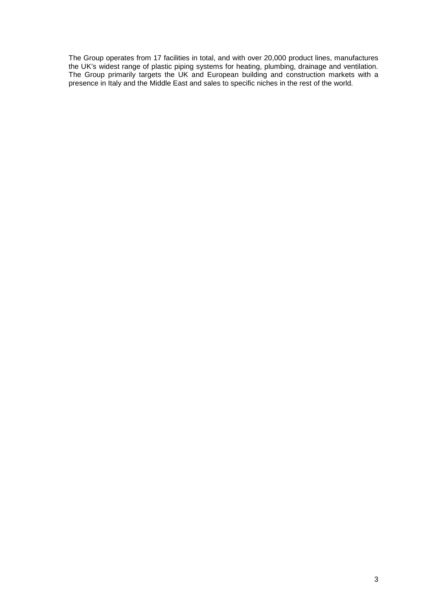The Group operates from 17 facilities in total, and with over 20,000 product lines, manufactures the UK's widest range of plastic piping systems for heating, plumbing, drainage and ventilation. The Group primarily targets the UK and European building and construction markets with a presence in Italy and the Middle East and sales to specific niches in the rest of the world.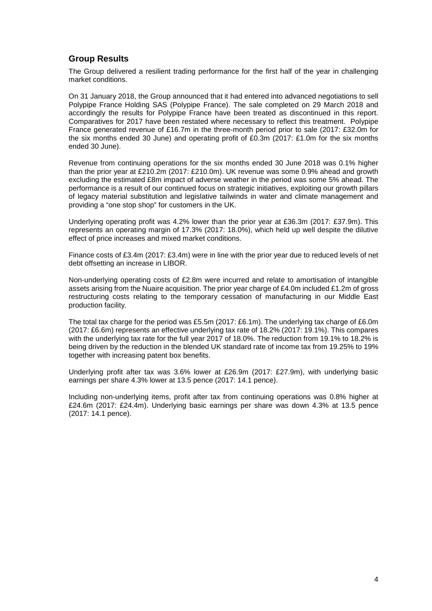# **Group Results**

The Group delivered a resilient trading performance for the first half of the year in challenging market conditions.

On 31 January 2018, the Group announced that it had entered into advanced negotiations to sell Polypipe France Holding SAS (Polypipe France). The sale completed on 29 March 2018 and accordingly the results for Polypipe France have been treated as discontinued in this report. Comparatives for 2017 have been restated where necessary to reflect this treatment. Polypipe France generated revenue of £16.7m in the three-month period prior to sale (2017: £32.0m for the six months ended 30 June) and operating profit of £0.3m (2017: £1.0m for the six months ended 30 June).

Revenue from continuing operations for the six months ended 30 June 2018 was 0.1% higher than the prior year at £210.2m (2017: £210.0m). UK revenue was some 0.9% ahead and growth excluding the estimated £8m impact of adverse weather in the period was some 5% ahead. The performance is a result of our continued focus on strategic initiatives, exploiting our growth pillars of legacy material substitution and legislative tailwinds in water and climate management and providing a "one stop shop" for customers in the UK.

Underlying operating profit was 4.2% lower than the prior year at £36.3m (2017: £37.9m). This represents an operating margin of 17.3% (2017: 18.0%), which held up well despite the dilutive effect of price increases and mixed market conditions.

Finance costs of £3.4m (2017: £3.4m) were in line with the prior year due to reduced levels of net debt offsetting an increase in LIBOR.

Non-underlying operating costs of £2.8m were incurred and relate to amortisation of intangible assets arising from the Nuaire acquisition. The prior year charge of £4.0m included £1.2m of gross restructuring costs relating to the temporary cessation of manufacturing in our Middle East production facility.

The total tax charge for the period was £5.5m (2017: £6.1m). The underlying tax charge of £6.0m (2017: £6.6m) represents an effective underlying tax rate of 18.2% (2017: 19.1%). This compares with the underlying tax rate for the full year 2017 of 18.0%. The reduction from 19.1% to 18.2% is being driven by the reduction in the blended UK standard rate of income tax from 19.25% to 19% together with increasing patent box benefits.

Underlying profit after tax was 3.6% lower at £26.9m (2017: £27.9m), with underlying basic earnings per share 4.3% lower at 13.5 pence (2017: 14.1 pence).

Including non-underlying items, profit after tax from continuing operations was 0.8% higher at £24.6m (2017: £24.4m). Underlying basic earnings per share was down 4.3% at 13.5 pence (2017: 14.1 pence).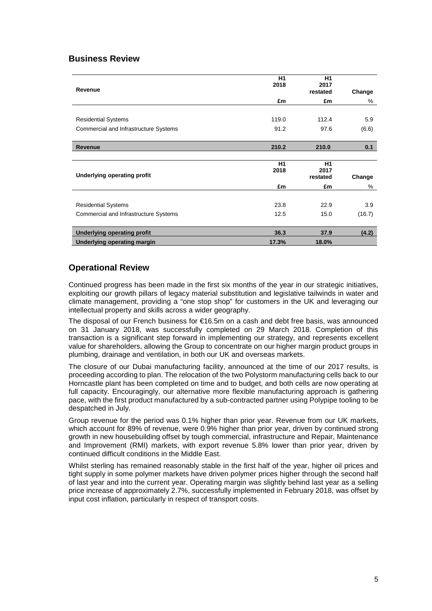# **Business Review**

| Revenue                               | H1<br>2018 | H <sub>1</sub><br>2017<br>restated | Change |
|---------------------------------------|------------|------------------------------------|--------|
|                                       | £m         | £m                                 | %      |
|                                       |            |                                    |        |
| <b>Residential Systems</b>            | 119.0      | 112.4                              | 5.9    |
| Commercial and Infrastructure Systems | 91.2       | 97.6                               | (6.6)  |
|                                       |            |                                    |        |
| <b>Revenue</b>                        | 210.2      | 210.0                              | 0.1    |
|                                       |            |                                    |        |
|                                       | H1         | H1                                 |        |
| <b>Underlying operating profit</b>    | 2018       | 2017<br>restated                   | Change |
|                                       | £m         | £m                                 | %      |
|                                       |            |                                    |        |
| <b>Residential Systems</b>            | 23.8       | 22.9                               | 3.9    |
| Commercial and Infrastructure Systems | 12.5       | 15.0                               | (16.7) |
|                                       |            |                                    |        |
| <b>Underlying operating profit</b>    | 36.3       | 37.9                               | (4.2)  |
| <b>Underlying operating margin</b>    | 17.3%      | 18.0%                              |        |

# **Operational Review**

Continued progress has been made in the first six months of the year in our strategic initiatives, exploiting our growth pillars of legacy material substitution and legislative tailwinds in water and climate management, providing a "one stop shop" for customers in the UK and leveraging our intellectual property and skills across a wider geography.

The disposal of our French business for €16.5m on a cash and debt free basis, was announced on 31 January 2018, was successfully completed on 29 March 2018. Completion of this transaction is a significant step forward in implementing our strategy, and represents excellent value for shareholders, allowing the Group to concentrate on our higher margin product groups in plumbing, drainage and ventilation, in both our UK and overseas markets.

The closure of our Dubai manufacturing facility, announced at the time of our 2017 results, is proceeding according to plan. The relocation of the two Polystorm manufacturing cells back to our Horncastle plant has been completed on time and to budget, and both cells are now operating at full capacity. Encouragingly, our alternative more flexible manufacturing approach is gathering pace, with the first product manufactured by a sub-contracted partner using Polypipe tooling to be despatched in July.

Group revenue for the period was 0.1% higher than prior year. Revenue from our UK markets, which account for 89% of revenue, were 0.9% higher than prior year, driven by continued strong growth in new housebuilding offset by tough commercial, infrastructure and Repair, Maintenance and Improvement (RMI) markets, with export revenue 5.8% lower than prior year, driven by continued difficult conditions in the Middle East.

Whilst sterling has remained reasonably stable in the first half of the year, higher oil prices and tight supply in some polymer markets have driven polymer prices higher through the second half of last year and into the current year. Operating margin was slightly behind last year as a selling price increase of approximately 2.7%, successfully implemented in February 2018, was offset by input cost inflation, particularly in respect of transport costs.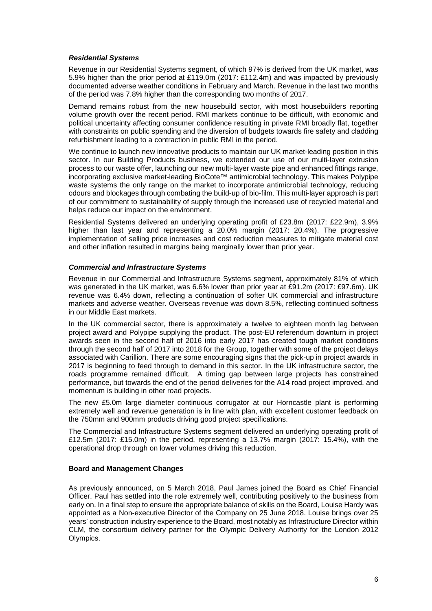## *Residential Systems*

Revenue in our Residential Systems segment, of which 97% is derived from the UK market, was 5.9% higher than the prior period at £119.0m (2017: £112.4m) and was impacted by previously documented adverse weather conditions in February and March. Revenue in the last two months of the period was 7.8% higher than the corresponding two months of 2017.

Demand remains robust from the new housebuild sector, with most housebuilders reporting volume growth over the recent period. RMI markets continue to be difficult, with economic and political uncertainty affecting consumer confidence resulting in private RMI broadly flat, together with constraints on public spending and the diversion of budgets towards fire safety and cladding refurbishment leading to a contraction in public RMI in the period.

We continue to launch new innovative products to maintain our UK market-leading position in this sector. In our Building Products business, we extended our use of our multi-layer extrusion process to our waste offer, launching our new multi-layer waste pipe and enhanced fittings range, incorporating exclusive market-leading BioCote™ antimicrobial technology. This makes Polypipe waste systems the only range on the market to incorporate antimicrobial technology, reducing odours and blockages through combating the build-up of bio-film. This multi-layer approach is part of our commitment to sustainability of supply through the increased use of recycled material and helps reduce our impact on the environment.

Residential Systems delivered an underlying operating profit of £23.8m (2017: £22.9m), 3.9% higher than last year and representing a 20.0% margin (2017: 20.4%). The progressive implementation of selling price increases and cost reduction measures to mitigate material cost and other inflation resulted in margins being marginally lower than prior year.

# *Commercial and Infrastructure Systems*

Revenue in our Commercial and Infrastructure Systems segment, approximately 81% of which was generated in the UK market, was 6.6% lower than prior year at £91.2m (2017: £97.6m). UK revenue was 6.4% down, reflecting a continuation of softer UK commercial and infrastructure markets and adverse weather. Overseas revenue was down 8.5%, reflecting continued softness in our Middle East markets.

In the UK commercial sector, there is approximately a twelve to eighteen month lag between project award and Polypipe supplying the product. The post-EU referendum downturn in project awards seen in the second half of 2016 into early 2017 has created tough market conditions through the second half of 2017 into 2018 for the Group, together with some of the project delays associated with Carillion. There are some encouraging signs that the pick-up in project awards in 2017 is beginning to feed through to demand in this sector. In the UK infrastructure sector, the roads programme remained difficult. A timing gap between large projects has constrained performance, but towards the end of the period deliveries for the A14 road project improved, and momentum is building in other road projects.

The new £5.0m large diameter continuous corrugator at our Horncastle plant is performing extremely well and revenue generation is in line with plan, with excellent customer feedback on the 750mm and 900mm products driving good project specifications.

The Commercial and Infrastructure Systems segment delivered an underlying operating profit of £12.5m (2017: £15.0m) in the period, representing a 13.7% margin (2017: 15.4%), with the operational drop through on lower volumes driving this reduction.

## **Board and Management Changes**

As previously announced, on 5 March 2018, Paul James joined the Board as Chief Financial Officer. Paul has settled into the role extremely well, contributing positively to the business from early on. In a final step to ensure the appropriate balance of skills on the Board, Louise Hardy was appointed as a Non-executive Director of the Company on 25 June 2018. Louise brings over 25 years' construction industry experience to the Board, most notably as Infrastructure Director within CLM, the consortium delivery partner for the Olympic Delivery Authority for the London 2012 Olympics.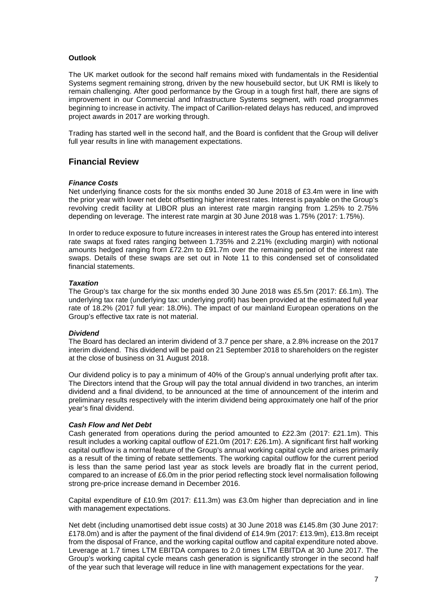# **Outlook**

The UK market outlook for the second half remains mixed with fundamentals in the Residential Systems segment remaining strong, driven by the new housebuild sector, but UK RMI is likely to remain challenging. After good performance by the Group in a tough first half, there are signs of improvement in our Commercial and Infrastructure Systems segment, with road programmes beginning to increase in activity. The impact of Carillion-related delays has reduced, and improved project awards in 2017 are working through.

Trading has started well in the second half, and the Board is confident that the Group will deliver full year results in line with management expectations.

# **Financial Review**

## *Finance Costs*

Net underlying finance costs for the six months ended 30 June 2018 of £3.4m were in line with the prior year with lower net debt offsetting higher interest rates. Interest is payable on the Group's revolving credit facility at LIBOR plus an interest rate margin ranging from 1.25% to 2.75% depending on leverage. The interest rate margin at 30 June 2018 was 1.75% (2017: 1.75%).

In order to reduce exposure to future increases in interest rates the Group has entered into interest rate swaps at fixed rates ranging between 1.735% and 2.21% (excluding margin) with notional amounts hedged ranging from £72.2m to £91.7m over the remaining period of the interest rate swaps. Details of these swaps are set out in Note 11 to this condensed set of consolidated financial statements.

#### *Taxation*

The Group's tax charge for the six months ended 30 June 2018 was £5.5m (2017: £6.1m). The underlying tax rate (underlying tax: underlying profit) has been provided at the estimated full year rate of 18.2% (2017 full year: 18.0%). The impact of our mainland European operations on the Group's effective tax rate is not material.

#### *Dividend*

The Board has declared an interim dividend of 3.7 pence per share, a 2.8% increase on the 2017 interim dividend. This dividend will be paid on 21 September 2018 to shareholders on the register at the close of business on 31 August 2018.

Our dividend policy is to pay a minimum of 40% of the Group's annual underlying profit after tax. The Directors intend that the Group will pay the total annual dividend in two tranches, an interim dividend and a final dividend, to be announced at the time of announcement of the interim and preliminary results respectively with the interim dividend being approximately one half of the prior year's final dividend.

## *Cash Flow and Net Debt*

Cash generated from operations during the period amounted to £22.3m (2017: £21.1m). This result includes a working capital outflow of £21.0m (2017: £26.1m). A significant first half working capital outflow is a normal feature of the Group's annual working capital cycle and arises primarily as a result of the timing of rebate settlements. The working capital outflow for the current period is less than the same period last year as stock levels are broadly flat in the current period, compared to an increase of £6.0m in the prior period reflecting stock level normalisation following strong pre-price increase demand in December 2016.

Capital expenditure of £10.9m (2017: £11.3m) was £3.0m higher than depreciation and in line with management expectations.

Net debt (including unamortised debt issue costs) at 30 June 2018 was £145.8m (30 June 2017: £178.0m) and is after the payment of the final dividend of £14.9m (2017: £13.9m), £13.8m receipt from the disposal of France, and the working capital outflow and capital expenditure noted above. Leverage at 1.7 times LTM EBITDA compares to 2.0 times LTM EBITDA at 30 June 2017. The Group's working capital cycle means cash generation is significantly stronger in the second half of the year such that leverage will reduce in line with management expectations for the year.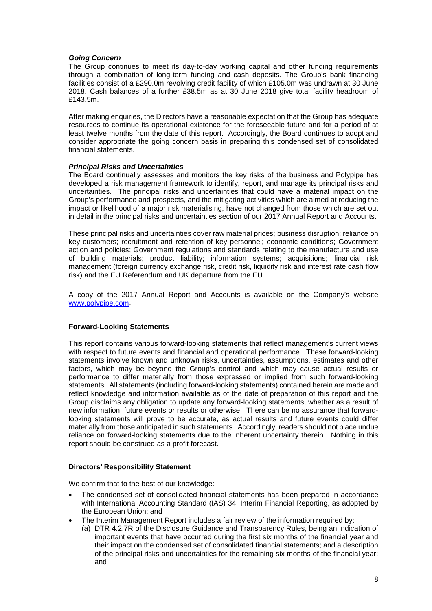## *Going Concern*

The Group continues to meet its day-to-day working capital and other funding requirements through a combination of long-term funding and cash deposits. The Group's bank financing facilities consist of a £290.0m revolving credit facility of which £105.0m was undrawn at 30 June 2018. Cash balances of a further £38.5m as at 30 June 2018 give total facility headroom of £143.5m.

After making enquiries, the Directors have a reasonable expectation that the Group has adequate resources to continue its operational existence for the foreseeable future and for a period of at least twelve months from the date of this report. Accordingly, the Board continues to adopt and consider appropriate the going concern basis in preparing this condensed set of consolidated financial statements.

## *Principal Risks and Uncertainties*

The Board continually assesses and monitors the key risks of the business and Polypipe has developed a risk management framework to identify, report, and manage its principal risks and uncertainties. The principal risks and uncertainties that could have a material impact on the Group's performance and prospects, and the mitigating activities which are aimed at reducing the impact or likelihood of a major risk materialising, have not changed from those which are set out in detail in the principal risks and uncertainties section of our 2017 Annual Report and Accounts.

These principal risks and uncertainties cover raw material prices; business disruption; reliance on key customers; recruitment and retention of key personnel; economic conditions; Government action and policies; Government regulations and standards relating to the manufacture and use of building materials; product liability; information systems; acquisitions; financial risk management (foreign currency exchange risk, credit risk, liquidity risk and interest rate cash flow risk) and the EU Referendum and UK departure from the EU.

A copy of the 2017 Annual Report and Accounts is available on the Company's website [www.polypipe.com.](http://www.polypipe.com/)

# **Forward-Looking Statements**

This report contains various forward-looking statements that reflect management's current views with respect to future events and financial and operational performance. These forward-looking statements involve known and unknown risks, uncertainties, assumptions, estimates and other factors, which may be beyond the Group's control and which may cause actual results or performance to differ materially from those expressed or implied from such forward-looking statements. All statements (including forward-looking statements) contained herein are made and reflect knowledge and information available as of the date of preparation of this report and the Group disclaims any obligation to update any forward-looking statements, whether as a result of new information, future events or results or otherwise. There can be no assurance that forwardlooking statements will prove to be accurate, as actual results and future events could differ materially from those anticipated in such statements. Accordingly, readers should not place undue reliance on forward-looking statements due to the inherent uncertainty therein. Nothing in this report should be construed as a profit forecast.

## **Directors' Responsibility Statement**

We confirm that to the best of our knowledge:

- The condensed set of consolidated financial statements has been prepared in accordance with International Accounting Standard (IAS) 34, Interim Financial Reporting, as adopted by the European Union; and
- The Interim Management Report includes a fair review of the information required by:
	- (a) DTR 4.2.7R of the Disclosure Guidance and Transparency Rules, being an indication of important events that have occurred during the first six months of the financial year and their impact on the condensed set of consolidated financial statements; and a description of the principal risks and uncertainties for the remaining six months of the financial year; and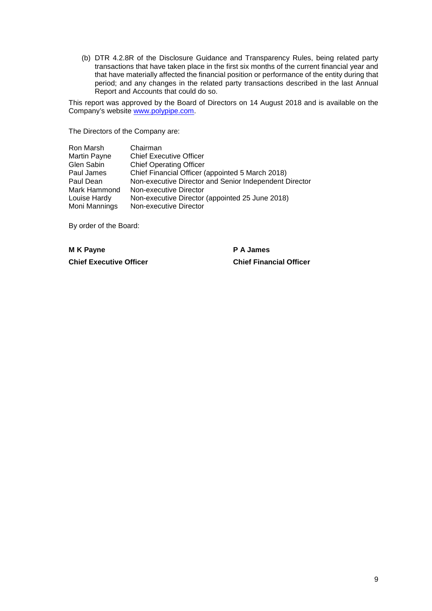(b) DTR 4.2.8R of the Disclosure Guidance and Transparency Rules, being related party transactions that have taken place in the first six months of the current financial year and that have materially affected the financial position or performance of the entity during that period; and any changes in the related party transactions described in the last Annual Report and Accounts that could do so.

This report was approved by the Board of Directors on 14 August 2018 and is available on the Company's website [www.polypipe.com.](http://www.polypipe.com/)

The Directors of the Company are:

| Ron Marsh           | Chairman                                               |
|---------------------|--------------------------------------------------------|
| <b>Martin Payne</b> | <b>Chief Executive Officer</b>                         |
| Glen Sabin          | <b>Chief Operating Officer</b>                         |
| Paul James          | Chief Financial Officer (appointed 5 March 2018)       |
| Paul Dean           | Non-executive Director and Senior Independent Director |
| Mark Hammond        | Non-executive Director                                 |
| Louise Hardy        | Non-executive Director (appointed 25 June 2018)        |
| Moni Mannings       | Non-executive Director                                 |

By order of the Board:

**M K Payne P A James Chief Executive Officer Chief Financial Officer**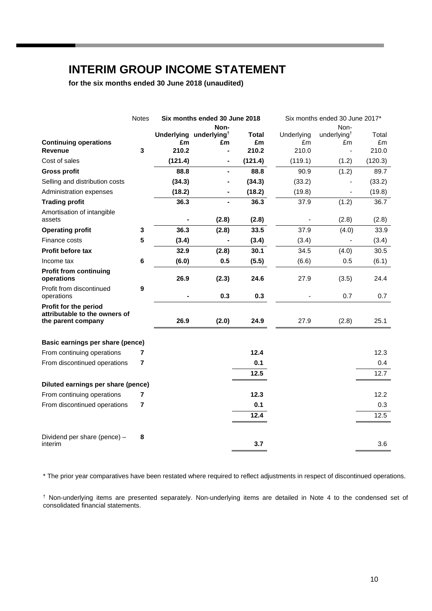# **INTERIM GROUP INCOME STATEMENT**

**for the six months ended 30 June 2018 (unaudited)**

|                                                                              | <b>Notes</b>   |         | Six months ended 30 June 2018            |                    |                  | Six months ended 30 June 2017*                   |             |
|------------------------------------------------------------------------------|----------------|---------|------------------------------------------|--------------------|------------------|--------------------------------------------------|-------------|
|                                                                              |                |         | Non-                                     |                    |                  | Non-                                             |             |
| <b>Continuing operations</b>                                                 |                | £m      | Underlying underlying <sup>t</sup><br>£m | <b>Total</b><br>£m | Underlying<br>£m | underlying <sup><math>\dagger</math></sup><br>£m | Total<br>£m |
| Revenue                                                                      | 3              | 210.2   |                                          | 210.2              | 210.0            |                                                  | 210.0       |
| Cost of sales                                                                |                | (121.4) |                                          | (121.4)            | (119.1)          | (1.2)                                            | (120.3)     |
| <b>Gross profit</b>                                                          |                | 88.8    | $\blacksquare$                           | 88.8               | 90.9             | (1.2)                                            | 89.7        |
| Selling and distribution costs                                               |                | (34.3)  |                                          | (34.3)             | (33.2)           |                                                  | (33.2)      |
| Administration expenses                                                      |                | (18.2)  |                                          | (18.2)             | (19.8)           |                                                  | (19.8)      |
| <b>Trading profit</b>                                                        |                | 36.3    |                                          | 36.3               | 37.9             | (1.2)                                            | 36.7        |
| Amortisation of intangible<br>assets                                         |                |         | (2.8)                                    | (2.8)              |                  | (2.8)                                            | (2.8)       |
| <b>Operating profit</b>                                                      | 3              | 36.3    | (2.8)                                    | 33.5               | 37.9             | (4.0)                                            | 33.9        |
| Finance costs                                                                | 5              | (3.4)   |                                          | (3.4)              | (3.4)            |                                                  | (3.4)       |
| Profit before tax                                                            |                | 32.9    | (2.8)                                    | 30.1               | 34.5             | (4.0)                                            | 30.5        |
| Income tax                                                                   | 6              | (6.0)   | 0.5                                      | (5.5)              | (6.6)            | 0.5                                              | (6.1)       |
| <b>Profit from continuing</b><br>operations                                  |                | 26.9    | (2.3)                                    | 24.6               | 27.9             | (3.5)                                            | 24.4        |
| Profit from discontinued<br>operations                                       | 9              |         | 0.3                                      | 0.3                |                  | 0.7                                              | 0.7         |
| Profit for the period<br>attributable to the owners of<br>the parent company |                | 26.9    | (2.0)                                    | 24.9               | 27.9             | (2.8)                                            | 25.1        |
| Basic earnings per share (pence)                                             |                |         |                                          |                    |                  |                                                  |             |
| From continuing operations                                                   | 7              |         |                                          | 12.4               |                  |                                                  | 12.3        |
| From discontinued operations                                                 | $\overline{7}$ |         |                                          | 0.1                |                  |                                                  | 0.4         |
|                                                                              |                |         |                                          | 12.5               |                  |                                                  | 12.7        |
| Diluted earnings per share (pence)                                           |                |         |                                          |                    |                  |                                                  |             |
| From continuing operations                                                   | 7              |         |                                          | 12.3               |                  |                                                  | 12.2        |
| From discontinued operations                                                 | 7              |         |                                          | 0.1                |                  |                                                  | 0.3         |
|                                                                              |                |         |                                          | 12.4               |                  |                                                  | 12.5        |
| Dividend per share (pence) -                                                 | 8              |         |                                          |                    |                  |                                                  |             |
| interim                                                                      |                |         |                                          | 3.7                |                  |                                                  | 3.6         |

\* The prior year comparatives have been restated where required to reflect adjustments in respect of discontinued operations.

† Non-underlying items are presented separately. Non-underlying items are detailed in Note 4 to the condensed set of consolidated financial statements.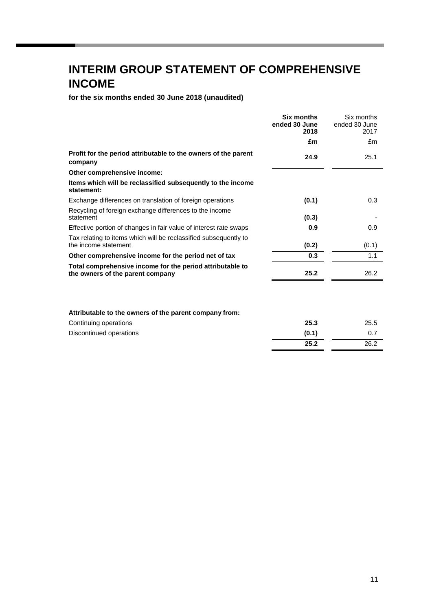# **INTERIM GROUP STATEMENT OF COMPREHENSIVE INCOME**

**for the six months ended 30 June 2018 (unaudited)**

|                                                                                               | <b>Six months</b><br>ended 30 June<br>2018 | Six months<br>ended 30 June<br>2017 |
|-----------------------------------------------------------------------------------------------|--------------------------------------------|-------------------------------------|
|                                                                                               | £m                                         | £m                                  |
| Profit for the period attributable to the owners of the parent<br>company                     | 24.9                                       | 25.1                                |
| Other comprehensive income:                                                                   |                                            |                                     |
| Items which will be reclassified subsequently to the income<br>statement:                     |                                            |                                     |
| Exchange differences on translation of foreign operations                                     | (0.1)                                      | 0.3                                 |
| Recycling of foreign exchange differences to the income<br>statement                          | (0.3)                                      |                                     |
| Effective portion of changes in fair value of interest rate swaps                             | 0.9                                        | 0.9                                 |
| Tax relating to items which will be reclassified subsequently to<br>the income statement      | (0.2)                                      | (0.1)                               |
| Other comprehensive income for the period net of tax                                          | 0.3                                        | 1.1                                 |
| Total comprehensive income for the period attributable to<br>the owners of the parent company | 25.2                                       | 26.2                                |
|                                                                                               |                                            |                                     |
|                                                                                               |                                            |                                     |

## **Attributable to the owners of the parent company from:**

| Continuing operations   | 25.3  | 25.5 |
|-------------------------|-------|------|
| Discontinued operations | (0.1) |      |
|                         | 25.2  | 26.2 |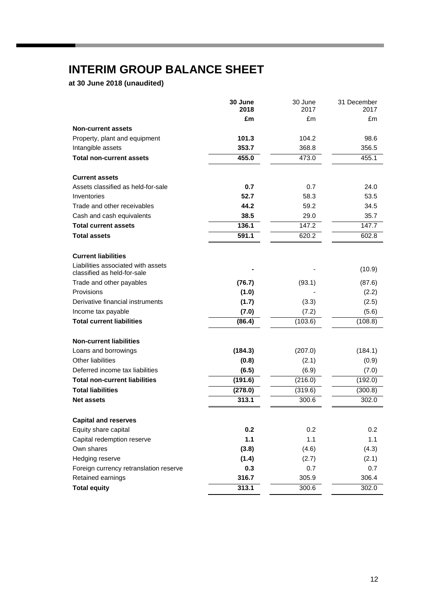# **INTERIM GROUP BALANCE SHEET**

**at 30 June 2018 (unaudited)**

|                                                                   | 30 June<br>2018 | 30 June<br>2017 | 31 December<br>2017 |
|-------------------------------------------------------------------|-----------------|-----------------|---------------------|
|                                                                   | £m              | £m              | £m                  |
| <b>Non-current assets</b>                                         |                 |                 |                     |
| Property, plant and equipment                                     | 101.3           | 104.2           | 98.6                |
| Intangible assets                                                 | 353.7           | 368.8           | 356.5               |
| <b>Total non-current assets</b>                                   | 455.0           | 473.0           | 455.1               |
|                                                                   |                 |                 |                     |
| <b>Current assets</b>                                             |                 |                 |                     |
| Assets classified as held-for-sale                                | 0.7             | 0.7             | 24.0                |
| Inventories                                                       | 52.7            | 58.3            | 53.5                |
| Trade and other receivables                                       | 44.2            | 59.2            | 34.5                |
| Cash and cash equivalents                                         | 38.5            | 29.0            | 35.7                |
| <b>Total current assets</b>                                       | 136.1           | 147.2           | 147.7               |
| <b>Total assets</b>                                               | 591.1           | 620.2           | 602.8               |
|                                                                   |                 |                 |                     |
| <b>Current liabilities</b>                                        |                 |                 |                     |
| Liabilities associated with assets<br>classified as held-for-sale |                 |                 | (10.9)              |
| Trade and other payables                                          | (76.7)          | (93.1)          | (87.6)              |
| Provisions                                                        | (1.0)           |                 | (2.2)               |
| Derivative financial instruments                                  | (1.7)           | (3.3)           | (2.5)               |
| Income tax payable                                                | (7.0)           | (7.2)           | (5.6)               |
| <b>Total current liabilities</b>                                  | (86.4)          | (103.6)         | (108.8)             |
| <b>Non-current liabilities</b>                                    |                 |                 |                     |
| Loans and borrowings                                              | (184.3)         | (207.0)         | (184.1)             |
| Other liabilities                                                 | (0.8)           | (2.1)           | (0.9)               |
| Deferred income tax liabilities                                   | (6.5)           | (6.9)           | (7.0)               |
| <b>Total non-current liabilities</b>                              | (191.6)         | (216.0)         | (192.0)             |
| <b>Total liabilities</b>                                          | (278.0)         | (319.6)         | (300.8)             |
| <b>Net assets</b>                                                 | 313.1           | 300.6           | 302.0               |
| <b>Capital and reserves</b>                                       |                 |                 |                     |
| Equity share capital                                              | 0.2             | 0.2             | 0.2                 |
| Capital redemption reserve                                        | 1.1             | 1.1             | 1.1                 |
| Own shares                                                        | (3.8)           | (4.6)           | (4.3)               |
| Hedging reserve                                                   | (1.4)           | (2.7)           | (2.1)               |
| Foreign currency retranslation reserve                            | 0.3             | 0.7             | 0.7                 |
| Retained earnings                                                 | 316.7           | 305.9           | 306.4               |
| <b>Total equity</b>                                               | 313.1           | 300.6           | 302.0               |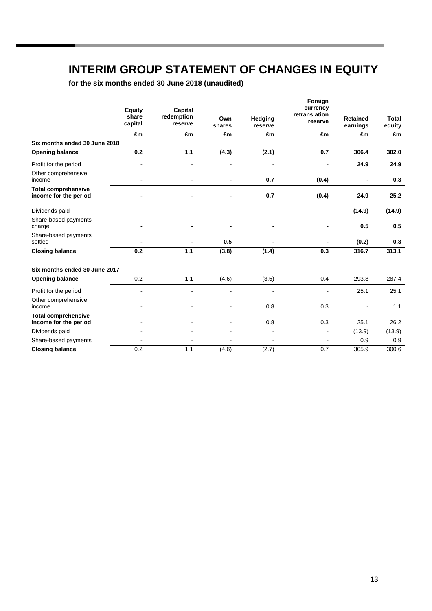# **INTERIM GROUP STATEMENT OF CHANGES IN EQUITY**

**for the six months ended 30 June 2018 (unaudited)**

|                                                     | <b>Equity</b><br>share<br>capital | Capital<br>redemption<br>reserve | Own<br>shares  | Hedging<br>reserve | Foreign<br>currency<br>retranslation<br>reserve | <b>Retained</b><br>earnings | <b>Total</b><br>equity |
|-----------------------------------------------------|-----------------------------------|----------------------------------|----------------|--------------------|-------------------------------------------------|-----------------------------|------------------------|
|                                                     | £m                                | £m                               | £m             | £m                 | £m                                              | £m                          | £m                     |
| Six months ended 30 June 2018                       |                                   |                                  |                |                    |                                                 |                             |                        |
| <b>Opening balance</b>                              | 0.2                               | 1.1                              | (4.3)          | (2.1)              | 0.7                                             | 306.4                       | 302.0                  |
| Profit for the period                               |                                   | -                                |                |                    |                                                 | 24.9                        | 24.9                   |
| Other comprehensive<br>income                       |                                   |                                  |                | 0.7                | (0.4)                                           | ٠                           | 0.3                    |
| <b>Total comprehensive</b><br>income for the period |                                   |                                  |                | 0.7                | (0.4)                                           | 24.9                        | 25.2                   |
| Dividends paid                                      |                                   |                                  | $\blacksquare$ | $\blacksquare$     | $\blacksquare$                                  | (14.9)                      | (14.9)                 |
| Share-based payments<br>charge                      |                                   |                                  |                | $\blacksquare$     |                                                 | 0.5                         | 0.5                    |
| Share-based payments<br>settled                     |                                   |                                  | 0.5            |                    |                                                 | (0.2)                       | 0.3                    |
| <b>Closing balance</b>                              | 0.2                               | 1.1                              | (3.8)          | (1.4)              | 0.3                                             | 316.7                       | 313.1                  |
| Six months ended 30 June 2017                       |                                   |                                  |                |                    |                                                 |                             |                        |
| <b>Opening balance</b>                              | 0.2                               | 1.1                              | (4.6)          | (3.5)              | 0.4                                             | 293.8                       | 287.4                  |
| Profit for the period                               |                                   |                                  |                |                    |                                                 | 25.1                        | 25.1                   |
| Other comprehensive<br>income                       |                                   |                                  |                | 0.8                | 0.3                                             |                             | 1.1                    |
| <b>Total comprehensive</b><br>income for the period |                                   |                                  |                | 0.8                | 0.3                                             | 25.1                        | 26.2                   |
| Dividends paid                                      |                                   |                                  |                |                    |                                                 | (13.9)                      | (13.9)                 |
| Share-based payments                                |                                   |                                  |                | $\overline{a}$     |                                                 | 0.9                         | 0.9                    |
| <b>Closing balance</b>                              | 0.2                               | 1.1                              | (4.6)          | (2.7)              | 0.7                                             | 305.9                       | 300.6                  |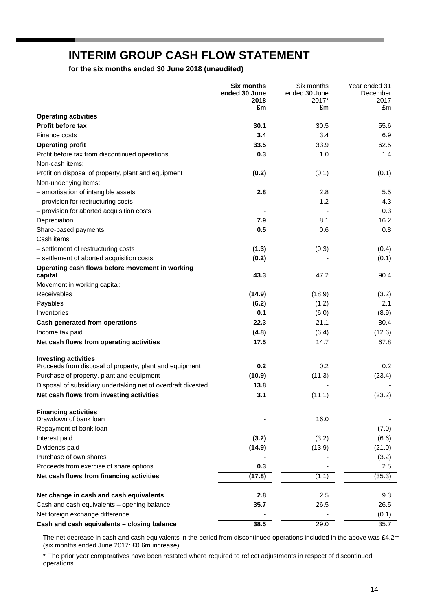# **INTERIM GROUP CASH FLOW STATEMENT**

**for the six months ended 30 June 2018 (unaudited)**

|                                                              | <b>Six months</b>     | Six months             | Year ended 31    |
|--------------------------------------------------------------|-----------------------|------------------------|------------------|
|                                                              | ended 30 June<br>2018 | ended 30 June<br>2017* | December<br>2017 |
|                                                              | £m                    | £m                     | £m               |
| <b>Operating activities</b>                                  |                       |                        |                  |
| <b>Profit before tax</b>                                     | 30.1                  | 30.5                   | 55.6             |
| Finance costs                                                | 3.4                   | 3.4                    | 6.9              |
| <b>Operating profit</b>                                      | 33.5                  | 33.9                   | 62.5             |
| Profit before tax from discontinued operations               | 0.3                   | 1.0                    | 1.4              |
| Non-cash items:                                              |                       |                        |                  |
| Profit on disposal of property, plant and equipment          | (0.2)                 | (0.1)                  | (0.1)            |
| Non-underlying items:                                        |                       |                        |                  |
| - amortisation of intangible assets                          | 2.8                   | 2.8                    | 5.5              |
| - provision for restructuring costs                          |                       | 1.2                    | 4.3              |
| - provision for aborted acquisition costs                    |                       |                        | 0.3              |
| Depreciation                                                 | 7.9                   | 8.1                    | 16.2             |
| Share-based payments                                         | 0.5                   | 0.6                    | 0.8              |
| Cash items:                                                  |                       |                        |                  |
| - settlement of restructuring costs                          | (1.3)                 | (0.3)                  | (0.4)            |
| - settlement of aborted acquisition costs                    | (0.2)                 |                        | (0.1)            |
| Operating cash flows before movement in working<br>capital   | 43.3                  | 47.2                   | 90.4             |
| Movement in working capital:                                 |                       |                        |                  |
| Receivables                                                  | (14.9)                | (18.9)                 | (3.2)            |
| Payables                                                     | (6.2)                 | (1.2)                  | 2.1              |
| Inventories                                                  | 0.1                   | (6.0)                  | (8.9)            |
| Cash generated from operations                               | 22.3                  | 21.1                   | 80.4             |
| Income tax paid                                              | (4.8)                 | (6.4)                  | (12.6)           |
| Net cash flows from operating activities                     | 17.5                  | $\overline{14.7}$      | 67.8             |
| <b>Investing activities</b>                                  |                       |                        |                  |
| Proceeds from disposal of property, plant and equipment      | 0.2                   | 0.2                    | 0.2              |
| Purchase of property, plant and equipment                    | (10.9)                | (11.3)                 | (23.4)           |
| Disposal of subsidiary undertaking net of overdraft divested | 13.8                  |                        |                  |
| Net cash flows from investing activities                     | 3.1                   | (11.1)                 | (23.2)           |
| <b>Financing activities</b>                                  |                       |                        |                  |
| Drawdown of bank loan                                        |                       | 16.0                   |                  |
| Repayment of bank loan                                       |                       |                        | (7.0)            |
| Interest paid                                                | (3.2)                 | (3.2)                  | (6.6)            |
| Dividends paid                                               | (14.9)                | (13.9)                 | (21.0)           |
| Purchase of own shares                                       |                       |                        | (3.2)            |
| Proceeds from exercise of share options                      | 0.3                   |                        | 2.5              |
| Net cash flows from financing activities                     | (17.8)                | (1.1)                  | (35.3)           |
| Net change in cash and cash equivalents                      | 2.8                   | 2.5                    | 9.3              |
| Cash and cash equivalents - opening balance                  | 35.7                  | 26.5                   | 26.5             |
| Net foreign exchange difference                              |                       |                        | (0.1)            |
| Cash and cash equivalents - closing balance                  | 38.5                  | 29.0                   | 35.7             |

The net decrease in cash and cash equivalents in the period from discontinued operations included in the above was £4.2m (six months ended June 2017: £0.6m increase).

\* The prior year comparatives have been restated where required to reflect adjustments in respect of discontinued operations.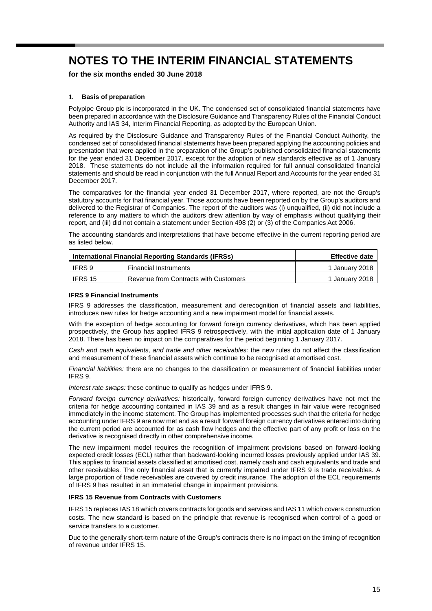**for the six months ended 30 June 2018**

### **1. Basis of preparation**

Polypipe Group plc is incorporated in the UK. The condensed set of consolidated financial statements have been prepared in accordance with the Disclosure Guidance and Transparency Rules of the Financial Conduct Authority and IAS 34, Interim Financial Reporting, as adopted by the European Union.

As required by the Disclosure Guidance and Transparency Rules of the Financial Conduct Authority, the condensed set of consolidated financial statements have been prepared applying the accounting policies and presentation that were applied in the preparation of the Group's published consolidated financial statements for the year ended 31 December 2017, except for the adoption of new standards effective as of 1 January 2018. These statements do not include all the information required for full annual consolidated financial statements and should be read in conjunction with the full Annual Report and Accounts for the year ended 31 December 2017.

The comparatives for the financial year ended 31 December 2017, where reported, are not the Group's statutory accounts for that financial year. Those accounts have been reported on by the Group's auditors and delivered to the Registrar of Companies. The report of the auditors was (i) unqualified, (ii) did not include a reference to any matters to which the auditors drew attention by way of emphasis without qualifying their report, and (iii) did not contain a statement under Section 498 (2) or (3) of the Companies Act 2006.

The accounting standards and interpretations that have become effective in the current reporting period are as listed below.

| International Financial Reporting Standards (IFRSs) | <b>Effective date</b>                 |                |
|-----------------------------------------------------|---------------------------------------|----------------|
| IFRS 9                                              | <b>Financial Instruments</b>          | 1 January 2018 |
| IFRS 15                                             | Revenue from Contracts with Customers | 1 January 2018 |

#### **IFRS 9 Financial Instruments**

IFRS 9 addresses the classification, measurement and derecognition of financial assets and liabilities, introduces new rules for hedge accounting and a new impairment model for financial assets.

With the exception of hedge accounting for forward foreign currency derivatives, which has been applied prospectively, the Group has applied IFRS 9 retrospectively, with the initial application date of 1 January 2018. There has been no impact on the comparatives for the period beginning 1 January 2017.

*Cash and cash equivalents, and trade and other receivables:* the new rules do not affect the classification and measurement of these financial assets which continue to be recognised at amortised cost.

*Financial liabilities:* there are no changes to the classification or measurement of financial liabilities under IFRS 9.

*Interest rate swaps:* these continue to qualify as hedges under IFRS 9.

*Forward foreign currency derivatives:* historically, forward foreign currency derivatives have not met the criteria for hedge accounting contained in IAS 39 and as a result changes in fair value were recognised immediately in the income statement. The Group has implemented processes such that the criteria for hedge accounting under IFRS 9 are now met and as a result forward foreign currency derivatives entered into during the current period are accounted for as cash flow hedges and the effective part of any profit or loss on the derivative is recognised directly in other comprehensive income.

The new impairment model requires the recognition of impairment provisions based on forward-looking expected credit losses (ECL) rather than backward-looking incurred losses previously applied under IAS 39. This applies to financial assets classified at amortised cost, namely cash and cash equivalents and trade and other receivables. The only financial asset that is currently impaired under IFRS 9 is trade receivables. A large proportion of trade receivables are covered by credit insurance. The adoption of the ECL requirements of IFRS 9 has resulted in an immaterial change in impairment provisions.

#### **IFRS 15 Revenue from Contracts with Customers**

IFRS 15 replaces IAS 18 which covers contracts for goods and services and IAS 11 which covers construction costs. The new standard is based on the principle that revenue is recognised when control of a good or service transfers to a customer.

Due to the generally short-term nature of the Group's contracts there is no impact on the timing of recognition of revenue under IFRS 15.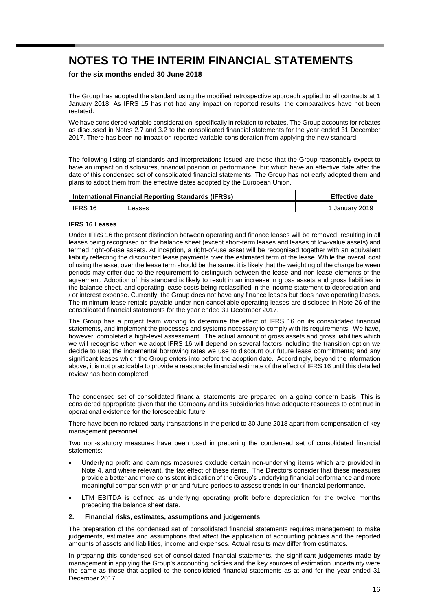**for the six months ended 30 June 2018**

The Group has adopted the standard using the modified retrospective approach applied to all contracts at 1 January 2018. As IFRS 15 has not had any impact on reported results, the comparatives have not been restated.

We have considered variable consideration, specifically in relation to rebates. The Group accounts for rebates as discussed in Notes 2.7 and 3.2 to the consolidated financial statements for the year ended 31 December 2017. There has been no impact on reported variable consideration from applying the new standard.

The following listing of standards and interpretations issued are those that the Group reasonably expect to have an impact on disclosures, financial position or performance; but which have an effective date after the date of this condensed set of consolidated financial statements. The Group has not early adopted them and plans to adopt them from the effective dates adopted by the European Union.

| International Financial Reporting Standards (IFRSs) |        | <b>Effective date</b> |
|-----------------------------------------------------|--------|-----------------------|
| $\overline{\phantom{a}}$ IFRS 16                    | _eases | 1 Januarv 2019        |

#### **IFRS 16 Leases**

Under IFRS 16 the present distinction between operating and finance leases will be removed, resulting in all leases being recognised on the balance sheet (except short-term leases and leases of low-value assets) and termed right-of-use assets. At inception, a right-of-use asset will be recognised together with an equivalent liability reflecting the discounted lease payments over the estimated term of the lease. While the overall cost of using the asset over the lease term should be the same, it is likely that the weighting of the charge between periods may differ due to the requirement to distinguish between the lease and non-lease elements of the agreement. Adoption of this standard is likely to result in an increase in gross assets and gross liabilities in the balance sheet, and operating lease costs being reclassified in the income statement to depreciation and / or interest expense. Currently, the Group does not have any finance leases but does have operating leases. The minimum lease rentals payable under non-cancellable operating leases are disclosed in Note 26 of the consolidated financial statements for the year ended 31 December 2017.

The Group has a project team working to determine the effect of IFRS 16 on its consolidated financial statements, and implement the processes and systems necessary to comply with its requirements. We have, however, completed a high-level assessment. The actual amount of gross assets and gross liabilities which we will recognise when we adopt IFRS 16 will depend on several factors including the transition option we decide to use; the incremental borrowing rates we use to discount our future lease commitments; and any significant leases which the Group enters into before the adoption date. Accordingly, beyond the information above, it is not practicable to provide a reasonable financial estimate of the effect of IFRS 16 until this detailed review has been completed.

The condensed set of consolidated financial statements are prepared on a going concern basis. This is considered appropriate given that the Company and its subsidiaries have adequate resources to continue in operational existence for the foreseeable future.

There have been no related party transactions in the period to 30 June 2018 apart from compensation of key management personnel.

Two non-statutory measures have been used in preparing the condensed set of consolidated financial statements:

- Underlying profit and earnings measures exclude certain non-underlying items which are provided in Note 4, and where relevant, the tax effect of these items. The Directors consider that these measures provide a better and more consistent indication of the Group's underlying financial performance and more meaningful comparison with prior and future periods to assess trends in our financial performance.
- LTM EBITDA is defined as underlying operating profit before depreciation for the twelve months preceding the balance sheet date.

#### **2. Financial risks, estimates, assumptions and judgements**

The preparation of the condensed set of consolidated financial statements requires management to make judgements, estimates and assumptions that affect the application of accounting policies and the reported amounts of assets and liabilities, income and expenses. Actual results may differ from estimates.

In preparing this condensed set of consolidated financial statements, the significant judgements made by management in applying the Group's accounting policies and the key sources of estimation uncertainty were the same as those that applied to the consolidated financial statements as at and for the year ended 31 December 2017.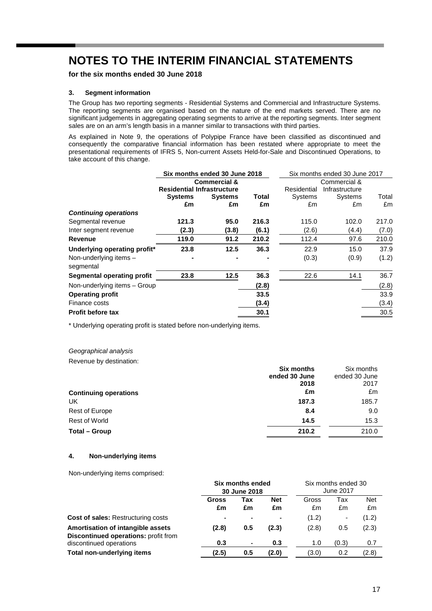**for the six months ended 30 June 2018**

#### **3. Segment information**

The Group has two reporting segments - Residential Systems and Commercial and Infrastructure Systems. The reporting segments are organised based on the nature of the end markets served. There are no significant judgements in aggregating operating segments to arrive at the reporting segments. Inter segment sales are on an arm's length basis in a manner similar to transactions with third parties.

As explained in Note 9, the operations of Polypipe France have been classified as discontinued and consequently the comparative financial information has been restated where appropriate to meet the presentational requirements of IFRS 5, Non-current Assets Held-for-Sale and Discontinued Operations, to take account of this change.

|                                   | Six months ended 30 June 2018     |                |       | Six months ended 30 June 2017 |                |       |
|-----------------------------------|-----------------------------------|----------------|-------|-------------------------------|----------------|-------|
|                                   | <b>Commercial &amp;</b>           |                |       |                               | Commercial &   |       |
|                                   | <b>Residential Infrastructure</b> |                |       | Residential                   | Infrastructure |       |
|                                   | <b>Systems</b>                    | <b>Systems</b> | Total | Systems                       | Systems        | Total |
|                                   | £m                                | £m             | £m    | £m                            | £m             | £m    |
| <b>Continuing operations</b>      |                                   |                |       |                               |                |       |
| Segmental revenue                 | 121.3                             | 95.0           | 216.3 | 115.0                         | 102.0          | 217.0 |
| Inter segment revenue             | (2.3)                             | (3.8)          | (6.1) | (2.6)                         | (4.4)          | (7.0) |
| Revenue                           | 119.0                             | 91.2           | 210.2 | 112.4                         | 97.6           | 210.0 |
| Underlying operating profit*      | 23.8                              | 12.5           | 36.3  | 22.9                          | 15.0           | 37.9  |
| Non-underlying items -            |                                   |                |       | (0.3)                         | (0.9)          | (1.2) |
| segmental                         |                                   |                |       |                               |                |       |
| <b>Segmental operating profit</b> | 23.8                              | 12.5           | 36.3  | 22.6                          | 14.1           | 36.7  |
| Non-underlying items - Group      |                                   |                | (2.8) |                               |                | (2.8) |
| <b>Operating profit</b>           |                                   |                | 33.5  |                               |                | 33.9  |
| Finance costs                     |                                   |                | (3.4) |                               |                | (3.4) |
| <b>Profit before tax</b>          |                                   |                | 30.1  |                               |                | 30.5  |

\* Underlying operating profit is stated before non-underlying items.

#### *Geographical analysis*

Revenue by destination:

|                              | <b>Six months</b> | Six months    |
|------------------------------|-------------------|---------------|
|                              | ended 30 June     | ended 30 June |
|                              | 2018              | 2017          |
| <b>Continuing operations</b> | £m                | £m            |
| UK                           | 187.3             | 185.7         |
| Rest of Europe               | 8.4               | 9.0           |
| <b>Rest of World</b>         | 14.5              | 15.3          |
| Total - Group                | 210.2             | 210.0         |

### **4. Non-underlying items**

Non-underlying items comprised:

|                                                                                         | <b>Six months ended</b><br>30 June 2018 |                          | Six months ended 30<br>June 2017 |             |           |                  |
|-----------------------------------------------------------------------------------------|-----------------------------------------|--------------------------|----------------------------------|-------------|-----------|------------------|
|                                                                                         | Gross<br>£m                             | Tax<br>£m                | <b>Net</b><br>£m                 | Gross<br>£m | Tax<br>£m | <b>Net</b><br>£m |
| <b>Cost of sales: Restructuring costs</b>                                               |                                         | $\overline{\phantom{0}}$ | $\blacksquare$                   | (1.2)       | ۰         | (1.2)            |
| <b>Amortisation of intangible assets</b><br><b>Discontinued operations: profit from</b> | (2.8)                                   | 0.5                      | (2.3)                            | (2.8)       | 0.5       | (2.3)            |
| discontinued operations                                                                 | 0.3                                     | ٠                        | 0.3                              | 1.0         | (0.3)     | 0.7              |
| Total non-underlying items                                                              | (2.5)                                   | 0.5                      | (2.0)                            | (3.0)       | 0.2       | (2.8)            |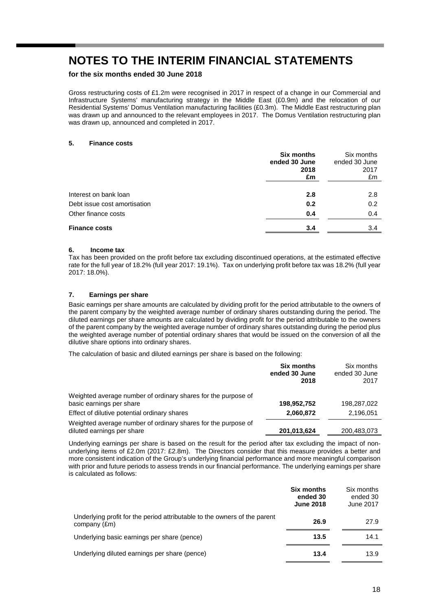**for the six months ended 30 June 2018**

Gross restructuring costs of £1.2m were recognised in 2017 in respect of a change in our Commercial and Infrastructure Systems' manufacturing strategy in the Middle East (£0.9m) and the relocation of our Residential Systems' Domus Ventilation manufacturing facilities (£0.3m). The Middle East restructuring plan was drawn up and announced to the relevant employees in 2017. The Domus Ventilation restructuring plan was drawn up, announced and completed in 2017.

#### **5. Finance costs**

|                              | <b>Six months</b><br>ended 30 June<br>2018<br>£m | Six months<br>ended 30 June<br>2017<br>£m |
|------------------------------|--------------------------------------------------|-------------------------------------------|
| Interest on bank loan        | 2.8                                              | 2.8                                       |
| Debt issue cost amortisation | 0.2                                              | 0.2                                       |
| Other finance costs          | 0.4                                              | 0.4                                       |
| <b>Finance costs</b>         | 3.4                                              | 3.4                                       |

#### **6. Income tax**

Tax has been provided on the profit before tax excluding discontinued operations, at the estimated effective rate for the full year of 18.2% (full year 2017: 19.1%). Tax on underlying profit before tax was 18.2% (full year 2017: 18.0%).

## **7. Earnings per share**

Basic earnings per share amounts are calculated by dividing profit for the period attributable to the owners of the parent company by the weighted average number of ordinary shares outstanding during the period. The diluted earnings per share amounts are calculated by dividing profit for the period attributable to the owners of the parent company by the weighted average number of ordinary shares outstanding during the period plus the weighted average number of potential ordinary shares that would be issued on the conversion of all the dilutive share options into ordinary shares.

The calculation of basic and diluted earnings per share is based on the following:

|                                                                                             | <b>Six months</b><br>ended 30 June<br>2018 | Six months<br>ended 30 June<br>2017 |
|---------------------------------------------------------------------------------------------|--------------------------------------------|-------------------------------------|
| Weighted average number of ordinary shares for the purpose of<br>basic earnings per share   | 198,952,752                                | 198,287,022                         |
|                                                                                             |                                            |                                     |
| Effect of dilutive potential ordinary shares                                                | 2,060,872                                  | 2,196,051                           |
| Weighted average number of ordinary shares for the purpose of<br>diluted earnings per share | 201,013,624                                | 200,483,073                         |

Underlying earnings per share is based on the result for the period after tax excluding the impact of nonunderlying items of £2.0m (2017: £2.8m). The Directors consider that this measure provides a better and more consistent indication of the Group's underlying financial performance and more meaningful comparison with prior and future periods to assess trends in our financial performance. The underlying earnings per share is calculated as follows:

|                                                                                           | <b>Six months</b><br>ended 30<br><b>June 2018</b> | Six months<br>ended 30<br>June 2017 |
|-------------------------------------------------------------------------------------------|---------------------------------------------------|-------------------------------------|
| Underlying profit for the period attributable to the owners of the parent<br>company (£m) | 26.9                                              | 27.9                                |
| Underlying basic earnings per share (pence)                                               | 13.5                                              | 14.1                                |
| Underlying diluted earnings per share (pence)                                             | 13.4                                              | 13.9                                |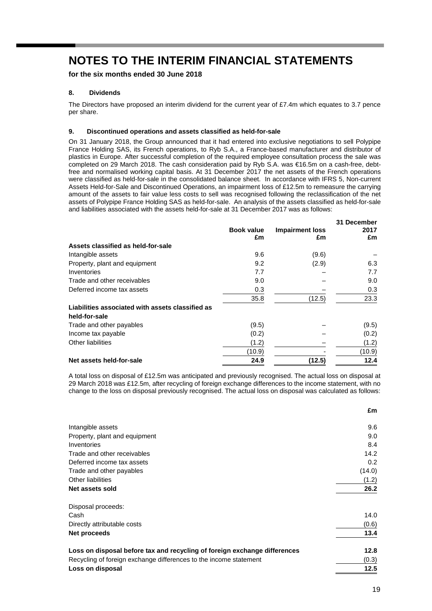**for the six months ended 30 June 2018**

# **8. Dividends**

The Directors have proposed an interim dividend for the current year of £7.4m which equates to 3.7 pence per share.

## **9. Discontinued operations and assets classified as held-for-sale**

On 31 January 2018, the Group announced that it had entered into exclusive negotiations to sell Polypipe France Holding SAS, its French operations, to Ryb S.A., a France-based manufacturer and distributor of plastics in Europe. After successful completion of the required employee consultation process the sale was completed on 29 March 2018. The cash consideration paid by Ryb S.A. was €16.5m on a cash-free, debtfree and normalised working capital basis. At 31 December 2017 the net assets of the French operations were classified as held-for-sale in the consolidated balance sheet. In accordance with IFRS 5, Non-current Assets Held-for-Sale and Discontinued Operations, an impairment loss of £12.5m to remeasure the carrying amount of the assets to fair value less costs to sell was recognised following the reclassification of the net assets of Polypipe France Holding SAS as held-for-sale. An analysis of the assets classified as held-for-sale and liabilities associated with the assets held-for-sale at 31 December 2017 was as follows:

|                                                  | <b>Book value</b><br>£m | <b>Impairment loss</b><br>£m | 31 December<br>2017<br>£m |
|--------------------------------------------------|-------------------------|------------------------------|---------------------------|
| Assets classified as held-for-sale               |                         |                              |                           |
| Intangible assets                                | 9.6                     | (9.6)                        |                           |
| Property, plant and equipment                    | 9.2                     | (2.9)                        | 6.3                       |
| Inventories                                      | 7.7                     |                              | 7.7                       |
| Trade and other receivables                      | 9.0                     |                              | 9.0                       |
| Deferred income tax assets                       | 0.3                     |                              | 0.3                       |
|                                                  | 35.8                    | (12.5)                       | 23.3                      |
| Liabilities associated with assets classified as |                         |                              |                           |
| held-for-sale                                    |                         |                              |                           |
| Trade and other payables                         | (9.5)                   |                              | (9.5)                     |
| Income tax payable                               | (0.2)                   |                              | (0.2)                     |
| Other liabilities                                | (1.2)                   |                              | (1.2)                     |
|                                                  | (10.9)                  |                              | (10.9)                    |
| Net assets held-for-sale                         | 24.9                    | (12.5)                       | 12.4                      |

A total loss on disposal of £12.5m was anticipated and previously recognised. The actual loss on disposal at 29 March 2018 was £12.5m, after recycling of foreign exchange differences to the income statement, with no change to the loss on disposal previously recognised. The actual loss on disposal was calculated as follows:

|                                                                           | £m     |
|---------------------------------------------------------------------------|--------|
| Intangible assets                                                         | 9.6    |
| Property, plant and equipment                                             | 9.0    |
| Inventories                                                               | 8.4    |
| Trade and other receivables                                               | 14.2   |
| Deferred income tax assets                                                | 0.2    |
| Trade and other payables                                                  | (14.0) |
| Other liabilities                                                         | (1.2)  |
| Net assets sold                                                           | 26.2   |
| Disposal proceeds:                                                        |        |
| Cash                                                                      | 14.0   |
| Directly attributable costs                                               | (0.6)  |
| Net proceeds                                                              | 13.4   |
| Loss on disposal before tax and recycling of foreign exchange differences | 12.8   |
| Recycling of foreign exchange differences to the income statement         | (0.3)  |
| Loss on disposal                                                          | 12.5   |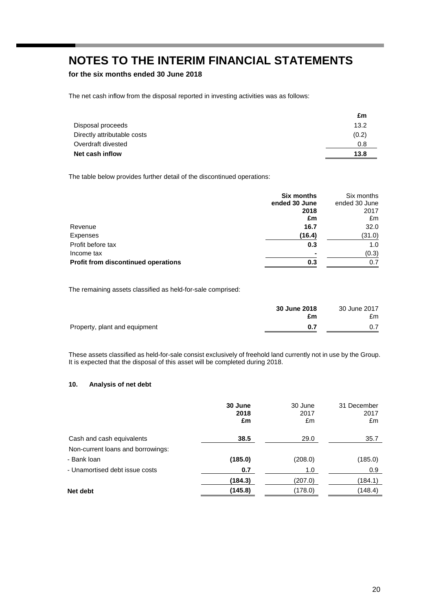**for the six months ended 30 June 2018**

The net cash inflow from the disposal reported in investing activities was as follows:

|                             | £m    |
|-----------------------------|-------|
| Disposal proceeds           | 13.2  |
| Directly attributable costs | (0.2) |
| Overdraft divested          | 0.8   |
| Net cash inflow             | 13.8  |
|                             |       |

The table below provides further detail of the discontinued operations:

|                                            | <b>Six months</b> | Six months    |
|--------------------------------------------|-------------------|---------------|
|                                            | ended 30 June     | ended 30 June |
|                                            | 2018              | 2017          |
|                                            | £m                | £m            |
| Revenue                                    | 16.7              | 32.0          |
| Expenses                                   | (16.4)            | (31.0)        |
| Profit before tax                          | 0.3               | 1.0           |
| Income tax                                 |                   | (0.3)         |
| <b>Profit from discontinued operations</b> | 0.3               | 0.7           |

The remaining assets classified as held-for-sale comprised:

|                               | 30 June 2018<br>£m | 30 June 2017<br>£m |
|-------------------------------|--------------------|--------------------|
| Property, plant and equipment | 0.7                |                    |

These assets classified as held-for-sale consist exclusively of freehold land currently not in use by the Group. It is expected that the disposal of this asset will be completed during 2018.

## **10. Analysis of net debt**

|                                   | 30 June<br>2018<br>£m | 30 June<br>2017<br>£m | 31 December<br>2017<br>£m |
|-----------------------------------|-----------------------|-----------------------|---------------------------|
| Cash and cash equivalents         | 38.5                  | 29.0                  | 35.7                      |
| Non-current loans and borrowings: |                       |                       |                           |
| - Bank Ioan                       | (185.0)               | (208.0)               | (185.0)                   |
| - Unamortised debt issue costs    | 0.7                   | 1.0                   | 0.9                       |
|                                   | (184.3)               | (207.0)               | (184.1)                   |
| Net debt                          | (145.8)               | (178.0)               | (148.4)                   |
|                                   |                       |                       |                           |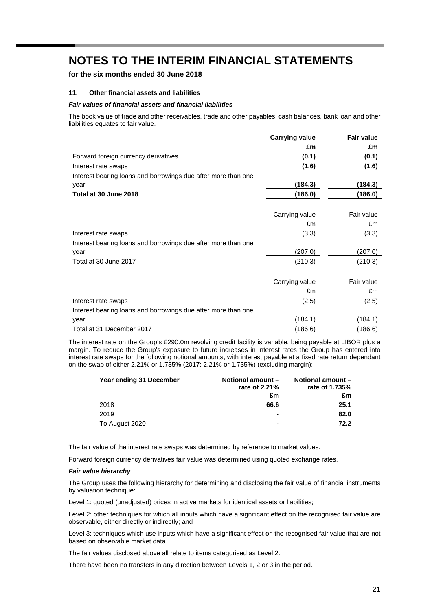**for the six months ended 30 June 2018**

#### **11. Other financial assets and liabilities**

#### *Fair values of financial assets and financial liabilities*

The book value of trade and other receivables, trade and other payables, cash balances, bank loan and other liabilities equates to fair value.

|                                                               | <b>Carrying value</b> | <b>Fair value</b> |
|---------------------------------------------------------------|-----------------------|-------------------|
|                                                               | £m                    | £m                |
| Forward foreign currency derivatives                          | (0.1)                 | (0.1)             |
| Interest rate swaps                                           | (1.6)                 | (1.6)             |
| Interest bearing loans and borrowings due after more than one |                       |                   |
| year                                                          | (184.3)               | (184.3)           |
| Total at 30 June 2018                                         | (186.0)               | (186.0)           |
|                                                               |                       |                   |
|                                                               | Carrying value        | Fair value        |
|                                                               | £m                    | £m                |
| Interest rate swaps                                           | (3.3)                 | (3.3)             |
| Interest bearing loans and borrowings due after more than one |                       |                   |
| year                                                          | (207.0)               | (207.0)           |
| Total at 30 June 2017                                         | (210.3)               | (210.3)           |
|                                                               |                       |                   |
|                                                               | Carrying value        | Fair value        |
|                                                               | £m                    | £m                |
| Interest rate swaps                                           | (2.5)                 | (2.5)             |
| Interest bearing loans and borrowings due after more than one |                       |                   |
| year                                                          | (184.1)               | (184.1)           |
| Total at 31 December 2017                                     | (186.6)               | (186.6)           |

The interest rate on the Group's £290.0m revolving credit facility is variable, being payable at LIBOR plus a margin. To reduce the Group's exposure to future increases in interest rates the Group has entered into interest rate swaps for the following notional amounts, with interest payable at a fixed rate return dependant on the swap of either 2.21% or 1.735% (2017: 2.21% or 1.735%) (excluding margin):

| Year ending 31 December | Notional amount -<br>rate of 2.21% | <b>Notional amount -</b><br>rate of 1.735% |
|-------------------------|------------------------------------|--------------------------------------------|
|                         | £m                                 | £m                                         |
| 2018                    | 66.6                               | 25.1                                       |
| 2019                    |                                    | 82.0                                       |
| To August 2020          |                                    | 72.2                                       |

The fair value of the interest rate swaps was determined by reference to market values.

Forward foreign currency derivatives fair value was determined using quoted exchange rates.

#### *Fair value hierarchy*

The Group uses the following hierarchy for determining and disclosing the fair value of financial instruments by valuation technique:

Level 1: quoted (unadjusted) prices in active markets for identical assets or liabilities;

Level 2: other techniques for which all inputs which have a significant effect on the recognised fair value are observable, either directly or indirectly; and

Level 3: techniques which use inputs which have a significant effect on the recognised fair value that are not based on observable market data.

The fair values disclosed above all relate to items categorised as Level 2.

There have been no transfers in any direction between Levels 1, 2 or 3 in the period.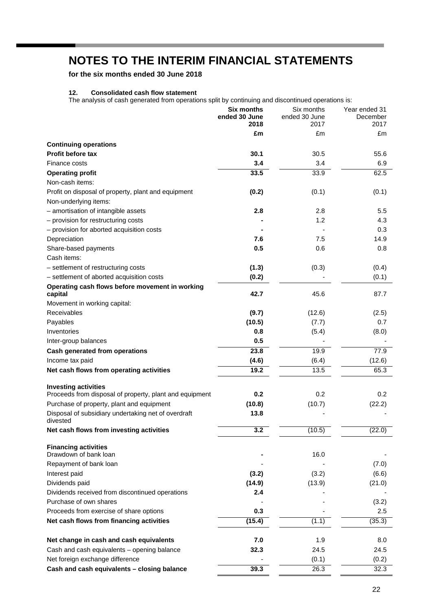**for the six months ended 30 June 2018**

# **12. Consolidated cash flow statement**

The analysis of cash generated from operations split by continuing and discontinued operations is:

|                                                                                        | <b>Six months</b><br>ended 30 June<br>2018 | Six months<br>ended 30 June<br>2017 | Year ended 31<br>December<br>2017 |
|----------------------------------------------------------------------------------------|--------------------------------------------|-------------------------------------|-----------------------------------|
|                                                                                        | £m                                         | £m                                  | £m                                |
| <b>Continuing operations</b>                                                           |                                            |                                     |                                   |
| <b>Profit before tax</b>                                                               | 30.1                                       | 30.5                                | 55.6                              |
| Finance costs                                                                          | 3.4                                        | 3.4                                 | 6.9                               |
| <b>Operating profit</b>                                                                | 33.5                                       | 33.9                                | 62.5                              |
| Non-cash items:                                                                        |                                            |                                     |                                   |
| Profit on disposal of property, plant and equipment                                    | (0.2)                                      | (0.1)                               | (0.1)                             |
| Non-underlying items:                                                                  |                                            |                                     |                                   |
| - amortisation of intangible assets                                                    | 2.8                                        | 2.8                                 | 5.5                               |
| - provision for restructuring costs                                                    |                                            | 1.2                                 | 4.3                               |
| - provision for aborted acquisition costs                                              |                                            |                                     | 0.3                               |
| Depreciation                                                                           | 7.6                                        | 7.5                                 | 14.9                              |
| Share-based payments                                                                   | 0.5                                        | 0.6                                 | 0.8                               |
| Cash items:                                                                            |                                            |                                     |                                   |
| - settlement of restructuring costs                                                    | (1.3)                                      | (0.3)                               | (0.4)                             |
| - settlement of aborted acquisition costs                                              | (0.2)                                      |                                     | (0.1)                             |
| Operating cash flows before movement in working                                        |                                            |                                     |                                   |
| capital                                                                                | 42.7                                       | 45.6                                | 87.7                              |
| Movement in working capital:                                                           |                                            |                                     |                                   |
| Receivables                                                                            | (9.7)                                      | (12.6)                              | (2.5)                             |
| Payables                                                                               | (10.5)                                     | (7.7)                               | 0.7                               |
| Inventories                                                                            | 0.8                                        | (5.4)                               | (8.0)                             |
| Inter-group balances                                                                   | 0.5                                        |                                     |                                   |
| <b>Cash generated from operations</b>                                                  | 23.8                                       | 19.9                                | 77.9                              |
| Income tax paid                                                                        | (4.6)                                      | (6.4)                               | (12.6)                            |
| Net cash flows from operating activities                                               | 19.2                                       | 13.5                                | 65.3                              |
|                                                                                        |                                            |                                     |                                   |
| <b>Investing activities</b><br>Proceeds from disposal of property, plant and equipment | 0.2                                        | 0.2                                 | 0.2                               |
| Purchase of property, plant and equipment                                              | (10.8)                                     | (10.7)                              | (22.2)                            |
| Disposal of subsidiary undertaking net of overdraft                                    | 13.8                                       |                                     |                                   |
| divested                                                                               |                                            |                                     |                                   |
| Net cash flows from investing activities                                               | 3.2                                        | (10.5)                              | (22.0)                            |
| <b>Financing activities</b>                                                            |                                            |                                     |                                   |
| Drawdown of bank loan                                                                  |                                            | 16.0                                |                                   |
| Repayment of bank loan                                                                 |                                            |                                     | (7.0)                             |
| Interest paid                                                                          | (3.2)                                      | (3.2)                               | (6.6)                             |
| Dividends paid                                                                         | (14.9)                                     | (13.9)                              | (21.0)                            |
| Dividends received from discontinued operations                                        | 2.4                                        |                                     |                                   |
| Purchase of own shares                                                                 |                                            |                                     | (3.2)                             |
| Proceeds from exercise of share options                                                | 0.3                                        |                                     | 2.5                               |
| Net cash flows from financing activities                                               | (15.4)                                     | (1.1)                               | (35.3)                            |
|                                                                                        |                                            |                                     |                                   |
| Net change in cash and cash equivalents                                                | 7.0                                        | 1.9                                 | 8.0                               |
| Cash and cash equivalents - opening balance                                            | 32.3                                       | 24.5                                | 24.5                              |
| Net foreign exchange difference                                                        |                                            | (0.1)                               | (0.2)                             |
| Cash and cash equivalents - closing balance                                            | 39.3                                       | 26.3                                | 32.3                              |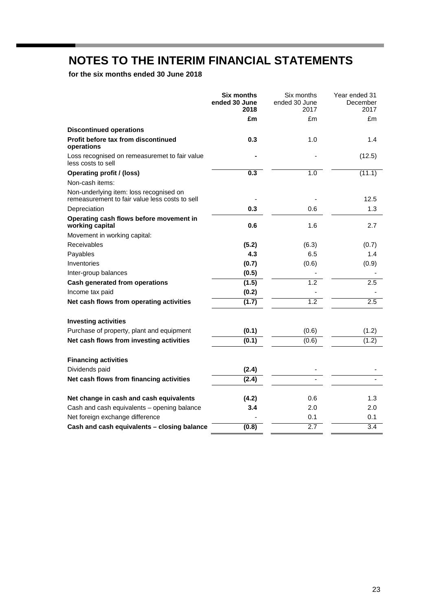**for the six months ended 30 June 2018**

|                                                                                           | Six months<br>ended 30 June<br>2018 | Six months<br>ended 30 June<br>2017 | Year ended 31<br>December<br>2017 |
|-------------------------------------------------------------------------------------------|-------------------------------------|-------------------------------------|-----------------------------------|
|                                                                                           | £m                                  | £m                                  | £m                                |
| <b>Discontinued operations</b>                                                            |                                     |                                     |                                   |
| Profit before tax from discontinued<br>operations                                         | 0.3                                 | 1.0                                 | 1.4                               |
| Loss recognised on remeasuremet to fair value<br>less costs to sell                       |                                     |                                     | (12.5)                            |
| <b>Operating profit / (loss)</b>                                                          | 0.3                                 | 1.0                                 | (11.1)                            |
| Non-cash items:                                                                           |                                     |                                     |                                   |
| Non-underlying item: loss recognised on<br>remeasurement to fair value less costs to sell |                                     |                                     | 12.5                              |
| Depreciation                                                                              | 0.3                                 | 0.6                                 | 1.3                               |
| Operating cash flows before movement in<br>working capital                                | 0.6                                 | 1.6                                 | 2.7                               |
| Movement in working capital:                                                              |                                     |                                     |                                   |
| Receivables                                                                               | (5.2)                               | (6.3)                               | (0.7)                             |
| Payables                                                                                  | 4.3                                 | 6.5                                 | 1.4                               |
| Inventories                                                                               | (0.7)                               | (0.6)                               | (0.9)                             |
| Inter-group balances                                                                      | (0.5)                               |                                     |                                   |
| <b>Cash generated from operations</b>                                                     | (1.5)                               | 1.2                                 | 2.5                               |
| Income tax paid                                                                           | (0.2)                               |                                     |                                   |
| Net cash flows from operating activities                                                  | (1.7)                               | $\overline{1.2}$                    | $\overline{2.5}$                  |
| <b>Investing activities</b>                                                               |                                     |                                     |                                   |
| Purchase of property, plant and equipment                                                 | (0.1)                               | (0.6)                               | (1.2)                             |
| Net cash flows from investing activities                                                  | (0.1)                               | (0.6)                               | (1.2)                             |
| <b>Financing activities</b>                                                               |                                     |                                     |                                   |
| Dividends paid                                                                            | (2.4)                               |                                     |                                   |
| Net cash flows from financing activities                                                  | (2.4)                               |                                     |                                   |
| Net change in cash and cash equivalents                                                   | (4.2)                               | 0.6                                 | 1.3                               |
| Cash and cash equivalents - opening balance                                               | 3.4                                 | 2.0                                 | 2.0                               |
| Net foreign exchange difference                                                           |                                     | 0.1                                 | 0.1                               |
| Cash and cash equivalents - closing balance                                               | (0.8)                               | 2.7                                 | 3.4                               |